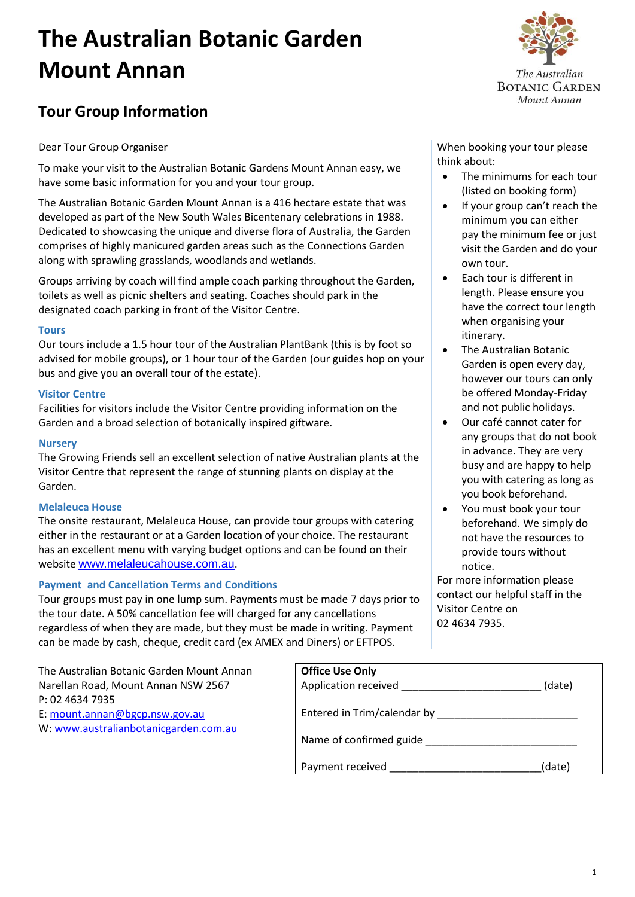# **The Australian Botanic Garden Mount Annan**

# **Tour Group Information**

# Dear Tour Group Organiser

To make your visit to the Australian Botanic Gardens Mount Annan easy, we have some basic information for you and your tour group.

The Australian Botanic Garden Mount Annan is a 416 hectare estate that was developed as part of the New South Wales Bicentenary celebrations in 1988. Dedicated to showcasing the unique and diverse flora of Australia, the Garden comprises of highly manicured garden areas such as the Connections Garden along with sprawling grasslands, woodlands and wetlands.

Groups arriving by coach will find ample coach parking throughout the Garden, toilets as well as picnic shelters and seating. Coaches should park in the designated coach parking in front of the Visitor Centre.

#### **Tours**

Our tours include a 1.5 hour tour of the Australian PlantBank (this is by foot so advised for mobile groups), or 1 hour tour of the Garden (our guides hop on your bus and give you an overall tour of the estate).

#### **Visitor Centre**

Facilities for visitors include the Visitor Centre providing information on the Garden and a broad selection of botanically inspired giftware.

### **Nursery**

The Growing Friends sell an excellent selection of native Australian plants at the Visitor Centre that represent the range of stunning plants on display at the Garden.

# **Melaleuca House**

The onsite restaurant, Melaleuca House, can provide tour groups with catering either in the restaurant or at a Garden location of your choice. The restaurant has an excellent menu with varying budget options and can be found on their website [www.melaleucahouse.com.au](http://www.melaleucahouse.com.au/).

# **Payment and Cancellation Terms and Conditions**

Tour groups must pay in one lump sum. Payments must be made 7 days prior to the tour date. A 50% cancellation fee will charged for any cancellations regardless of when they are made, but they must be made in writing. Payment can be made by cash, cheque, credit card (ex AMEX and Diners) or EFTPOS.

The Australian Botanic Garden Mount Annan Narellan Road, Mount Annan NSW 2567 P: 02 4634 7935 E: [mount.annan@bgcp.nsw.gov.au](mailto:mount.annan@bgcp.nsw.gov.au) W: [www.australianbotanicgarden.com.au](http://www.australianbotanicgarden.com.au/)

When booking your tour please think about:

- The minimums for each tour (listed on booking form)
- If your group can't reach the minimum you can either pay the minimum fee or just visit the Garden and do your own tour.
- Each tour is different in length. Please ensure you have the correct tour length when organising your itinerary.
- The Australian Botanic Garden is open every day, however our tours can only be offered Monday-Friday and not public holidays.
- Our café cannot cater for any groups that do not book in advance. They are very busy and are happy to help you with catering as long as you book beforehand.
- You must book your tour beforehand. We simply do not have the resources to provide tours without notice.

For more information please contact our helpful staff in the Visitor Centre on 02 4634 7935.

| <b>Office Use Only</b><br>Application received | (date) |
|------------------------------------------------|--------|
| Entered in Trim/calendar by                    |        |
| Name of confirmed guide                        |        |
| Payment received                               | (date) |



**BOTANIC GARDEN** Mount Annan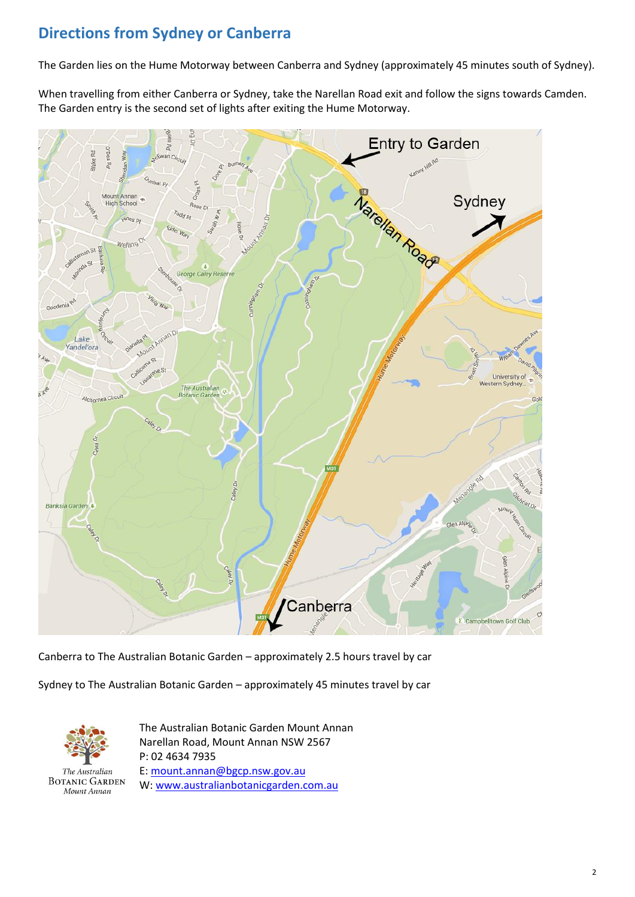# **Directions from Sydney or Canberra**

The Garden lies on the Hume Motorway between Canberra and Sydney (approximately 45 minutes south of Sydney).

When travelling from either Canberra or Sydney, take the Narellan Road exit and follow the signs towards Camden. The Garden entry is the second set of lights after exiting the Hume Motorway.



Canberra to The Australian Botanic Garden – approximately 2.5 hours travel by car

Sydney to The Australian Botanic Garden – approximately 45 minutes travel by car



The Australian **BOTANIC GARDEN** Mount Annan

The Australian Botanic Garden Mount Annan Narellan Road, Mount Annan NSW 2567 P: 02 4634 7935 E[: mount.annan@bgcp.nsw.gov.au](mailto:mount.annan@bgcp.nsw.gov.au) W: [www.australianbotanicgarden.com.au](http://www.australianbotanicgarden.com.au/)